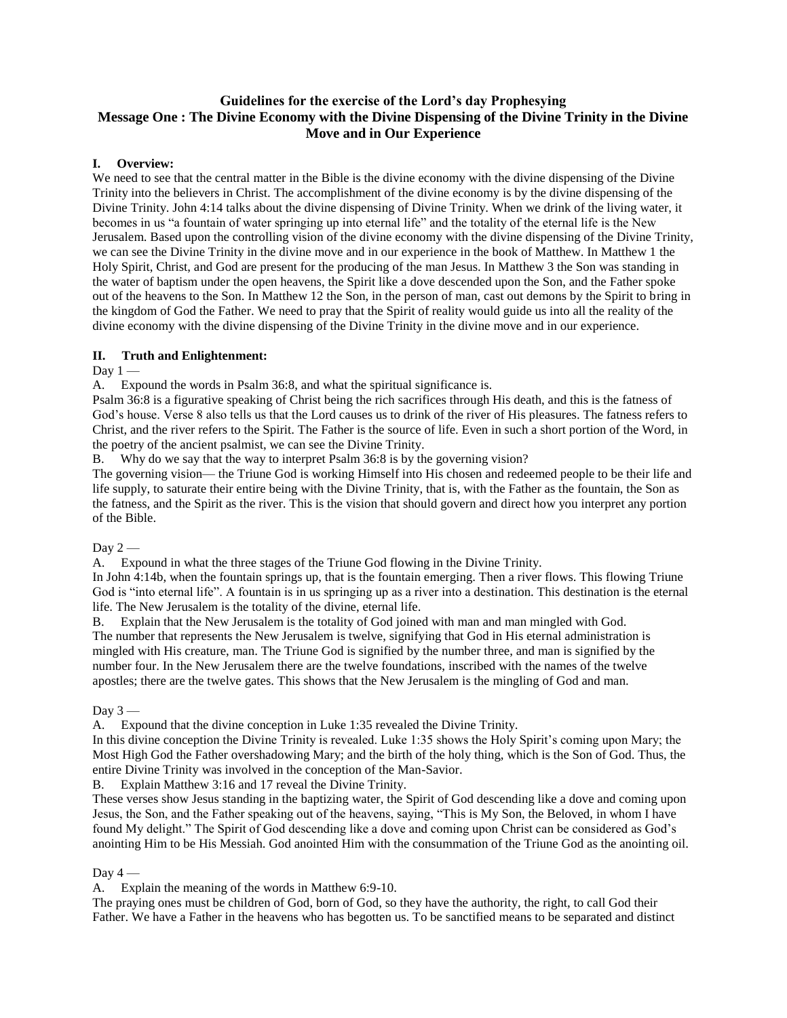# **Guidelines for the exercise of the Lord's day Prophesying Message One : The Divine Economy with the Divine Dispensing of the Divine Trinity in the Divine Move and in Our Experience**

#### **I. Overview:**

We need to see that the central matter in the Bible is the divine economy with the divine dispensing of the Divine Trinity into the believers in Christ. The accomplishment of the divine economy is by the divine dispensing of the Divine Trinity. John 4:14 talks about the divine dispensing of Divine Trinity. When we drink of the living water, it becomes in us "a fountain of water springing up into eternal life" and the totality of the eternal life is the New Jerusalem. Based upon the controlling vision of the divine economy with the divine dispensing of the Divine Trinity, we can see the Divine Trinity in the divine move and in our experience in the book of Matthew. In Matthew 1 the Holy Spirit, Christ, and God are present for the producing of the man Jesus. In Matthew 3 the Son was standing in the water of baptism under the open heavens, the Spirit like a dove descended upon the Son, and the Father spoke out of the heavens to the Son. In Matthew 12 the Son, in the person of man, cast out demons by the Spirit to bring in the kingdom of God the Father. We need to pray that the Spirit of reality would guide us into all the reality of the divine economy with the divine dispensing of the Divine Trinity in the divine move and in our experience.

#### **II. Truth and Enlightenment:**

Day  $1 -$ 

A. Expound the words in Psalm 36:8, and what the spiritual significance is.

Psalm 36:8 is a figurative speaking of Christ being the rich sacrifices through His death, and this is the fatness of God's house. Verse 8 also tells us that the Lord causes us to drink of the river of His pleasures. The fatness refers to Christ, and the river refers to the Spirit. The Father is the source of life. Even in such a short portion of the Word, in the poetry of the ancient psalmist, we can see the Divine Trinity.

B. Why do we say that the way to interpret Psalm 36:8 is by the governing vision?

The governing vision— the Triune God is working Himself into His chosen and redeemed people to be their life and life supply, to saturate their entire being with the Divine Trinity, that is, with the Father as the fountain, the Son as the fatness, and the Spirit as the river. This is the vision that should govern and direct how you interpret any portion of the Bible.

Day  $2-$ 

A. Expound in what the three stages of the Triune God flowing in the Divine Trinity.

In John 4:14b, when the fountain springs up, that is the fountain emerging. Then a river flows. This flowing Triune God is "into eternal life". A fountain is in us springing up as a river into a destination. This destination is the eternal life. The New Jerusalem is the totality of the divine, eternal life.

B. Explain that the New Jerusalem is the totality of God joined with man and man mingled with God. The number that represents the New Jerusalem is twelve, signifying that God in His eternal administration is mingled with His creature, man. The Triune God is signified by the number three, and man is signified by the number four. In the New Jerusalem there are the twelve foundations, inscribed with the names of the twelve apostles; there are the twelve gates. This shows that the New Jerusalem is the mingling of God and man.

Day  $3-$ 

A. Expound that the divine conception in Luke 1:35 revealed the Divine Trinity.

In this divine conception the Divine Trinity is revealed. Luke 1:35 shows the Holy Spirit's coming upon Mary; the Most High God the Father overshadowing Mary; and the birth of the holy thing, which is the Son of God. Thus, the entire Divine Trinity was involved in the conception of the Man-Savior.

B. Explain Matthew 3:16 and 17 reveal the Divine Trinity.

These verses show Jesus standing in the baptizing water, the Spirit of God descending like a dove and coming upon Jesus, the Son, and the Father speaking out of the heavens, saying, "This is My Son, the Beloved, in whom I have found My delight." The Spirit of God descending like a dove and coming upon Christ can be considered as God's anointing Him to be His Messiah. God anointed Him with the consummation of the Triune God as the anointing oil.

## Day  $4-$

A. Explain the meaning of the words in Matthew 6:9-10.

The praying ones must be children of God, born of God, so they have the authority, the right, to call God their Father. We have a Father in the heavens who has begotten us. To be sanctified means to be separated and distinct